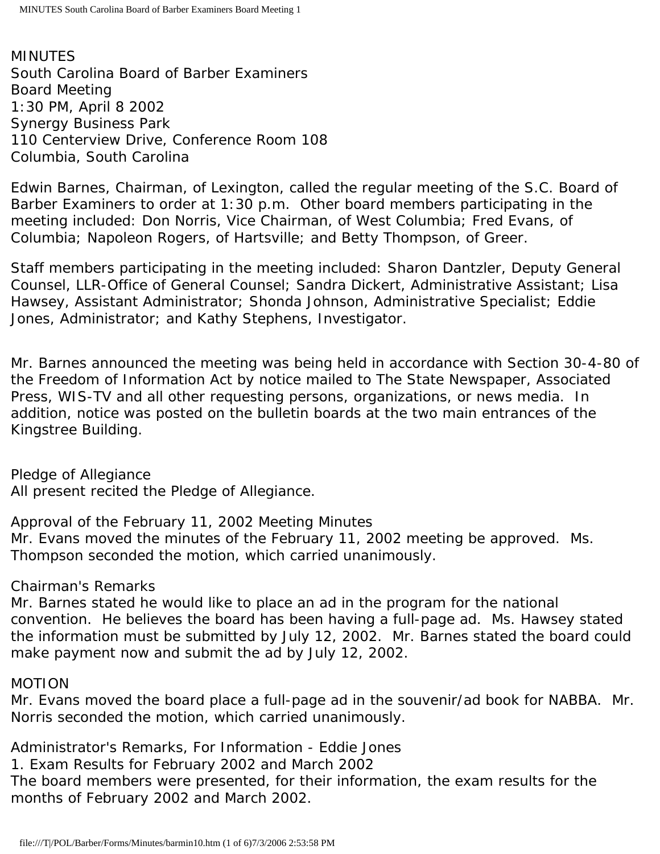MINUTES South Carolina Board of Barber Examiners Board Meeting 1:30 PM, April 8 2002 Synergy Business Park 110 Centerview Drive, Conference Room 108 Columbia, South Carolina

Edwin Barnes, Chairman, of Lexington, called the regular meeting of the S.C. Board of Barber Examiners to order at 1:30 p.m. Other board members participating in the meeting included: Don Norris, Vice Chairman, of West Columbia; Fred Evans, of Columbia; Napoleon Rogers, of Hartsville; and Betty Thompson, of Greer.

Staff members participating in the meeting included: Sharon Dantzler, Deputy General Counsel, LLR-Office of General Counsel; Sandra Dickert, Administrative Assistant; Lisa Hawsey, Assistant Administrator; Shonda Johnson, Administrative Specialist; Eddie Jones, Administrator; and Kathy Stephens, Investigator.

Mr. Barnes announced the meeting was being held in accordance with Section 30-4-80 of the Freedom of Information Act by notice mailed to The State Newspaper, Associated Press, WIS-TV and all other requesting persons, organizations, or news media. In addition, notice was posted on the bulletin boards at the two main entrances of the Kingstree Building.

Pledge of Allegiance All present recited the Pledge of Allegiance.

Approval of the February 11, 2002 Meeting Minutes Mr. Evans moved the minutes of the February 11, 2002 meeting be approved. Ms. Thompson seconded the motion, which carried unanimously.

# Chairman's Remarks

Mr. Barnes stated he would like to place an ad in the program for the national convention. He believes the board has been having a full-page ad. Ms. Hawsey stated the information must be submitted by July 12, 2002. Mr. Barnes stated the board could make payment now and submit the ad by July 12, 2002.

# MOTION

Mr. Evans moved the board place a full-page ad in the souvenir/ad book for NABBA. Mr. Norris seconded the motion, which carried unanimously.

Administrator's Remarks, For Information - Eddie Jones

1. Exam Results for February 2002 and March 2002

The board members were presented, for their information, the exam results for the months of February 2002 and March 2002.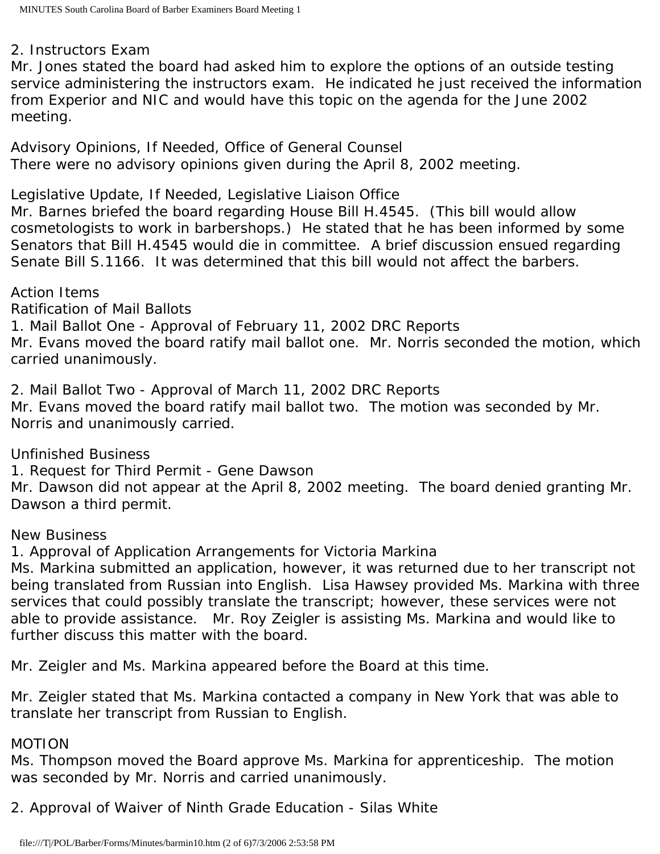# 2. Instructors Exam

Mr. Jones stated the board had asked him to explore the options of an outside testing service administering the instructors exam. He indicated he just received the information from Experior and NIC and would have this topic on the agenda for the June 2002 meeting.

Advisory Opinions, If Needed, Office of General Counsel There were no advisory opinions given during the April 8, 2002 meeting.

Legislative Update, If Needed, Legislative Liaison Office

Mr. Barnes briefed the board regarding House Bill H.4545. (This bill would allow cosmetologists to work in barbershops.) He stated that he has been informed by some Senators that Bill H.4545 would die in committee. A brief discussion ensued regarding Senate Bill S.1166. It was determined that this bill would not affect the barbers.

Action Items

Ratification of Mail Ballots

1. Mail Ballot One - Approval of February 11, 2002 DRC Reports

Mr. Evans moved the board ratify mail ballot one. Mr. Norris seconded the motion, which carried unanimously.

2. Mail Ballot Two - Approval of March 11, 2002 DRC Reports Mr. Evans moved the board ratify mail ballot two. The motion was seconded by Mr. Norris and unanimously carried.

Unfinished Business

1. Request for Third Permit - Gene Dawson

Mr. Dawson did not appear at the April 8, 2002 meeting. The board denied granting Mr. Dawson a third permit.

# New Business

1. Approval of Application Arrangements for Victoria Markina

Ms. Markina submitted an application, however, it was returned due to her transcript not being translated from Russian into English. Lisa Hawsey provided Ms. Markina with three services that could possibly translate the transcript; however, these services were not able to provide assistance. Mr. Roy Zeigler is assisting Ms. Markina and would like to further discuss this matter with the board.

Mr. Zeigler and Ms. Markina appeared before the Board at this time.

Mr. Zeigler stated that Ms. Markina contacted a company in New York that was able to translate her transcript from Russian to English.

# MOTION

Ms. Thompson moved the Board approve Ms. Markina for apprenticeship. The motion was seconded by Mr. Norris and carried unanimously.

2. Approval of Waiver of Ninth Grade Education - Silas White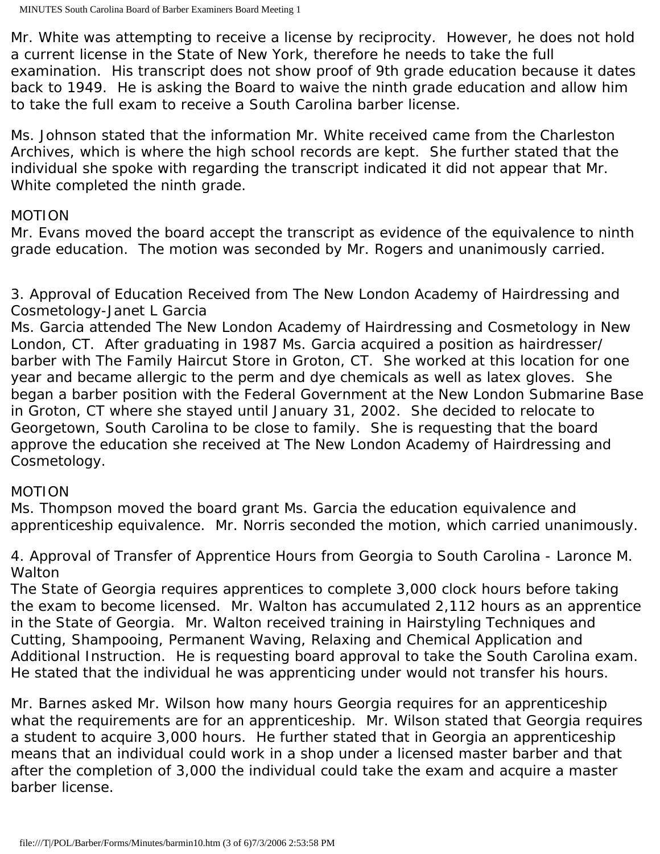Mr. White was attempting to receive a license by reciprocity. However, he does not hold a current license in the State of New York, therefore he needs to take the full examination. His transcript does not show proof of 9th grade education because it dates back to 1949. He is asking the Board to waive the ninth grade education and allow him to take the full exam to receive a South Carolina barber license.

Ms. Johnson stated that the information Mr. White received came from the Charleston Archives, which is where the high school records are kept. She further stated that the individual she spoke with regarding the transcript indicated it did not appear that Mr. White completed the ninth grade.

# MOTION

Mr. Evans moved the board accept the transcript as evidence of the equivalence to ninth grade education. The motion was seconded by Mr. Rogers and unanimously carried.

3. Approval of Education Received from The New London Academy of Hairdressing and Cosmetology-Janet L Garcia

Ms. Garcia attended The New London Academy of Hairdressing and Cosmetology in New London, CT. After graduating in 1987 Ms. Garcia acquired a position as hairdresser/ barber with The Family Haircut Store in Groton, CT. She worked at this location for one year and became allergic to the perm and dye chemicals as well as latex gloves. She began a barber position with the Federal Government at the New London Submarine Base in Groton, CT where she stayed until January 31, 2002. She decided to relocate to Georgetown, South Carolina to be close to family. She is requesting that the board approve the education she received at The New London Academy of Hairdressing and Cosmetology.

# MOTION

Ms. Thompson moved the board grant Ms. Garcia the education equivalence and apprenticeship equivalence. Mr. Norris seconded the motion, which carried unanimously.

4. Approval of Transfer of Apprentice Hours from Georgia to South Carolina - Laronce M. Walton

The State of Georgia requires apprentices to complete 3,000 clock hours before taking the exam to become licensed. Mr. Walton has accumulated 2,112 hours as an apprentice in the State of Georgia. Mr. Walton received training in Hairstyling Techniques and Cutting, Shampooing, Permanent Waving, Relaxing and Chemical Application and Additional Instruction. He is requesting board approval to take the South Carolina exam. He stated that the individual he was apprenticing under would not transfer his hours.

Mr. Barnes asked Mr. Wilson how many hours Georgia requires for an apprenticeship what the requirements are for an apprenticeship. Mr. Wilson stated that Georgia requires a student to acquire 3,000 hours. He further stated that in Georgia an apprenticeship means that an individual could work in a shop under a licensed master barber and that after the completion of 3,000 the individual could take the exam and acquire a master barber license.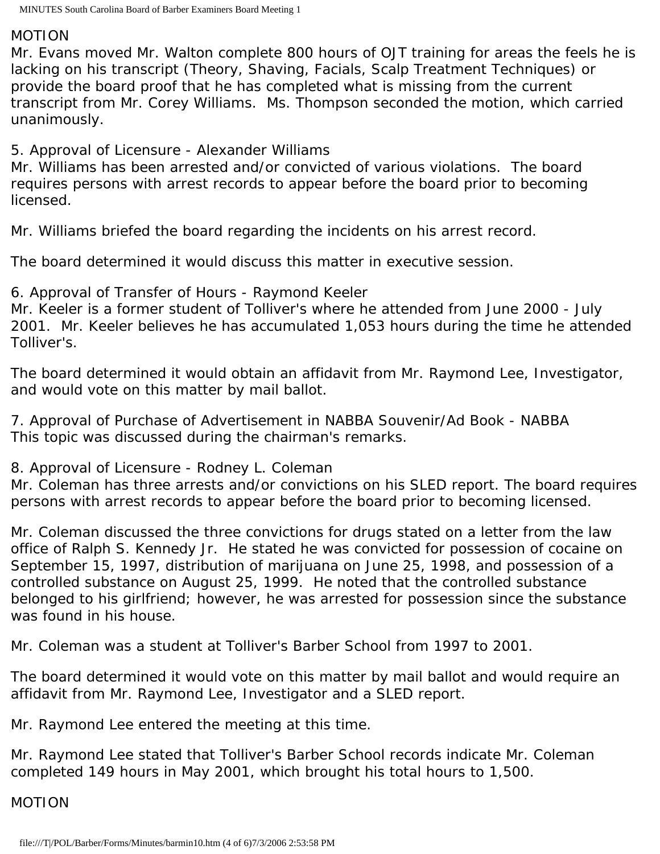#### MOTION

Mr. Evans moved Mr. Walton complete 800 hours of OJT training for areas the feels he is lacking on his transcript (Theory, Shaving, Facials, Scalp Treatment Techniques) or provide the board proof that he has completed what is missing from the current transcript from Mr. Corey Williams. Ms. Thompson seconded the motion, which carried unanimously.

5. Approval of Licensure - Alexander Williams

Mr. Williams has been arrested and/or convicted of various violations. The board requires persons with arrest records to appear before the board prior to becoming licensed.

Mr. Williams briefed the board regarding the incidents on his arrest record.

The board determined it would discuss this matter in executive session.

6. Approval of Transfer of Hours - Raymond Keeler Mr. Keeler is a former student of Tolliver's where he attended from June 2000 - July 2001. Mr. Keeler believes he has accumulated 1,053 hours during the time he attended Tolliver's.

The board determined it would obtain an affidavit from Mr. Raymond Lee, Investigator, and would vote on this matter by mail ballot.

7. Approval of Purchase of Advertisement in NABBA Souvenir/Ad Book - NABBA This topic was discussed during the chairman's remarks.

8. Approval of Licensure - Rodney L. Coleman

Mr. Coleman has three arrests and/or convictions on his SLED report. The board requires persons with arrest records to appear before the board prior to becoming licensed.

Mr. Coleman discussed the three convictions for drugs stated on a letter from the law office of Ralph S. Kennedy Jr. He stated he was convicted for possession of cocaine on September 15, 1997, distribution of marijuana on June 25, 1998, and possession of a controlled substance on August 25, 1999. He noted that the controlled substance belonged to his girlfriend; however, he was arrested for possession since the substance was found in his house.

Mr. Coleman was a student at Tolliver's Barber School from 1997 to 2001.

The board determined it would vote on this matter by mail ballot and would require an affidavit from Mr. Raymond Lee, Investigator and a SLED report.

Mr. Raymond Lee entered the meeting at this time.

Mr. Raymond Lee stated that Tolliver's Barber School records indicate Mr. Coleman completed 149 hours in May 2001, which brought his total hours to 1,500.

MOTION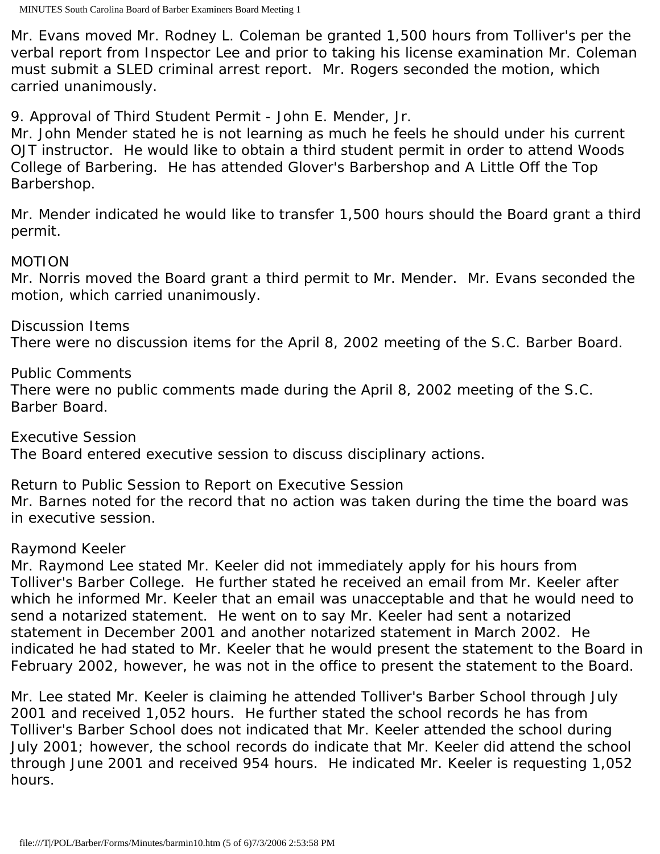Mr. Evans moved Mr. Rodney L. Coleman be granted 1,500 hours from Tolliver's per the verbal report from Inspector Lee and prior to taking his license examination Mr. Coleman must submit a SLED criminal arrest report. Mr. Rogers seconded the motion, which carried unanimously.

9. Approval of Third Student Permit - John E. Mender, Jr.

Mr. John Mender stated he is not learning as much he feels he should under his current OJT instructor. He would like to obtain a third student permit in order to attend Woods College of Barbering. He has attended Glover's Barbershop and A Little Off the Top Barbershop.

Mr. Mender indicated he would like to transfer 1,500 hours should the Board grant a third permit.

### MOTION

Mr. Norris moved the Board grant a third permit to Mr. Mender. Mr. Evans seconded the motion, which carried unanimously.

Discussion Items There were no discussion items for the April 8, 2002 meeting of the S.C. Barber Board.

Public Comments

There were no public comments made during the April 8, 2002 meeting of the S.C. Barber Board.

Executive Session The Board entered executive session to discuss disciplinary actions.

Return to Public Session to Report on Executive Session Mr. Barnes noted for the record that no action was taken during the time the board was in executive session.

# Raymond Keeler

Mr. Raymond Lee stated Mr. Keeler did not immediately apply for his hours from Tolliver's Barber College. He further stated he received an email from Mr. Keeler after which he informed Mr. Keeler that an email was unacceptable and that he would need to send a notarized statement. He went on to say Mr. Keeler had sent a notarized statement in December 2001 and another notarized statement in March 2002. He indicated he had stated to Mr. Keeler that he would present the statement to the Board in February 2002, however, he was not in the office to present the statement to the Board.

Mr. Lee stated Mr. Keeler is claiming he attended Tolliver's Barber School through July 2001 and received 1,052 hours. He further stated the school records he has from Tolliver's Barber School does not indicated that Mr. Keeler attended the school during July 2001; however, the school records do indicate that Mr. Keeler did attend the school through June 2001 and received 954 hours. He indicated Mr. Keeler is requesting 1,052 hours.